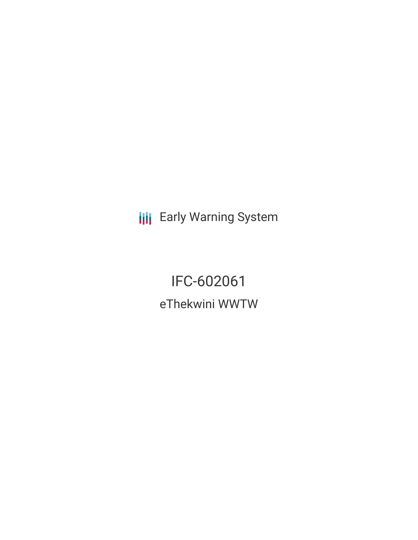**III** Early Warning System

IFC-602061 eThekwini WWTW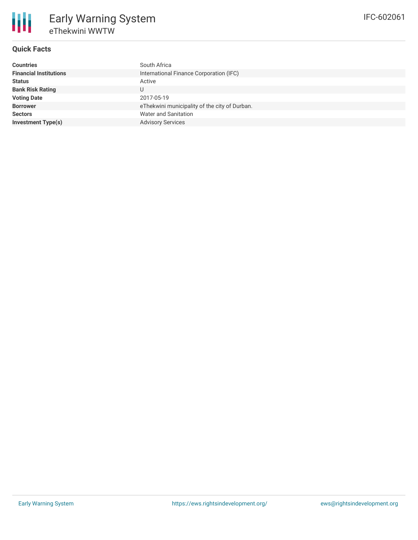# **Quick Facts**

| <b>Countries</b>              | South Africa                                  |
|-------------------------------|-----------------------------------------------|
| <b>Financial Institutions</b> | International Finance Corporation (IFC)       |
| <b>Status</b>                 | Active                                        |
| <b>Bank Risk Rating</b>       |                                               |
| <b>Voting Date</b>            | 2017-05-19                                    |
| <b>Borrower</b>               | eThekwini municipality of the city of Durban. |
| <b>Sectors</b>                | <b>Water and Sanitation</b>                   |
| <b>Investment Type(s)</b>     | <b>Advisory Services</b>                      |
|                               |                                               |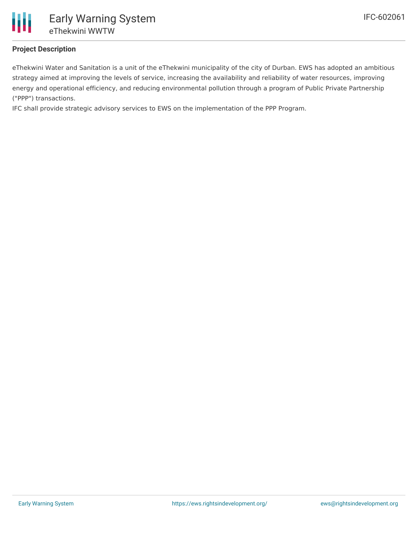

## **Project Description**

eThekwini Water and Sanitation is a unit of the eThekwini municipality of the city of Durban. EWS has adopted an ambitious strategy aimed at improving the levels of service, increasing the availability and reliability of water resources, improving energy and operational efficiency, and reducing environmental pollution through a program of Public Private Partnership ("PPP") transactions.

IFC shall provide strategic advisory services to EWS on the implementation of the PPP Program.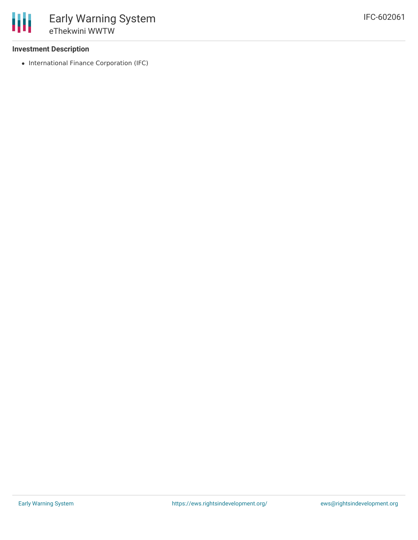### **Investment Description**

• International Finance Corporation (IFC)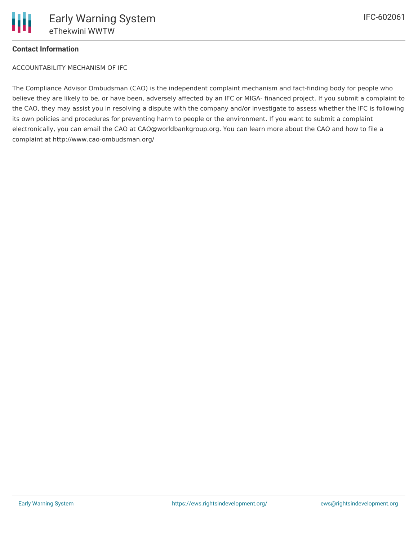

# IFC-602061

## **Contact Information**

ACCOUNTABILITY MECHANISM OF IFC

The Compliance Advisor Ombudsman (CAO) is the independent complaint mechanism and fact-finding body for people who believe they are likely to be, or have been, adversely affected by an IFC or MIGA- financed project. If you submit a complaint to the CAO, they may assist you in resolving a dispute with the company and/or investigate to assess whether the IFC is following its own policies and procedures for preventing harm to people or the environment. If you want to submit a complaint electronically, you can email the CAO at CAO@worldbankgroup.org. You can learn more about the CAO and how to file a complaint at http://www.cao-ombudsman.org/